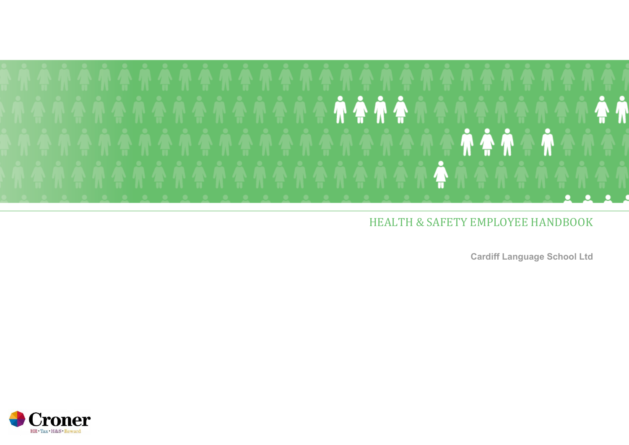

### HEALTH & SAFETY EMPLOYEE HANDBOOK

**Cardiff Language School Ltd**

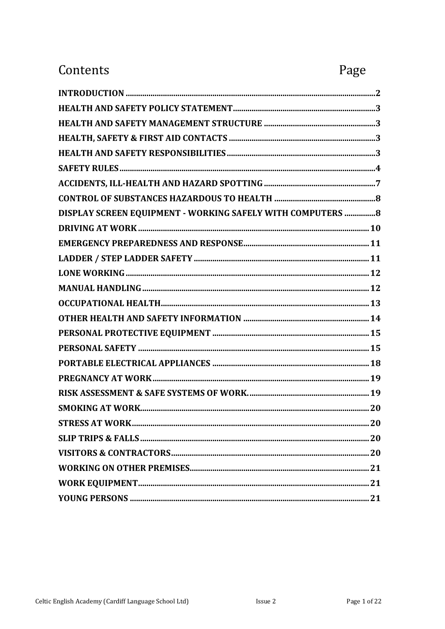### Contents

# Page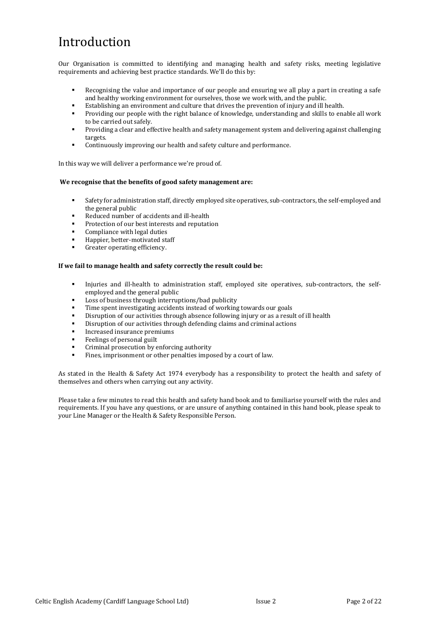# <span id="page-2-0"></span>Introduction

Our Organisation is committed to identifying and managing health and safety risks, meeting legislative requirements and achieving best practice standards. We'll do this by:

- Recognising the value and importance of our people and ensuring we all play a part in creating a safe and healthy working environment for ourselves, those we work with, and the public.
- Establishing an environment and culture that drives the prevention of injury and ill health.
- Providing our people with the right balance of knowledge, understanding and skills to enable all work to be carried out safely.
- Providing a clear and effective health and safety management system and delivering against challenging targets.
- Continuously improving our health and safety culture and performance.

In this way we will deliver a performance we're proud of.

#### **We recognise that the benefits of good safety management are:**

- Safety for administration staff, directly employed site operatives, sub-contractors, the self-employed and the general public
- Reduced number of accidents and ill-health
- Protection of our best interests and reputation
- Compliance with legal duties
- Happier, better-motivated staff
- Greater operating efficiency.

#### **If we fail to manage health and safety correctly the result could be:**

- Injuries and ill-health to administration staff, employed site operatives, sub-contractors, the selfemployed and the general public
- Loss of business through interruptions/bad publicity
- Time spent investigating accidents instead of working towards our goals
- Disruption of our activities through absence following injury or as a result of ill health
- Disruption of our activities through defending claims and criminal actions
- Increased insurance premiums
- Feelings of personal guilt
- Criminal prosecution by enforcing authority
- Fines, imprisonment or other penalties imposed by a court of law.

As stated in the Health & Safety Act 1974 everybody has a responsibility to protect the health and safety of themselves and others when carrying out any activity.

Please take a few minutes to read this health and safety hand book and to familiarise yourself with the rules and requirements. If you have any questions, or are unsure of anything contained in this hand book, please speak to your Line Manager or the Health & Safety Responsible Person.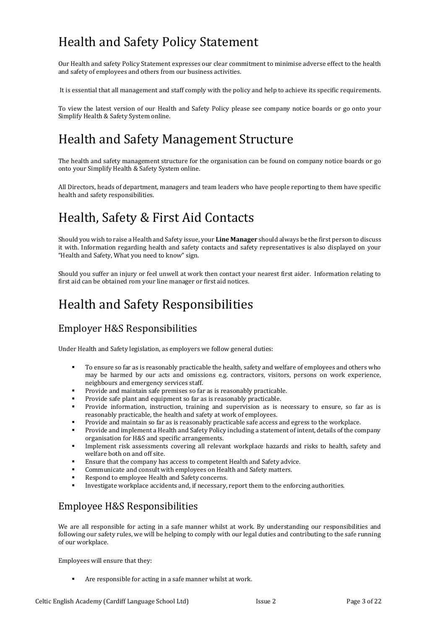# <span id="page-3-0"></span>Health and Safety Policy Statement

Our Health and safety Policy Statement expresses our clear commitment to minimise adverse effect to the health and safety of employees and others from our business activities.

It is essential that all management and staff comply with the policy and help to achieve its specific requirements.

To view the latest version of our Health and Safety Policy please see company notice boards or go onto your Simplify Health & Safety System online.

## <span id="page-3-2"></span>Health and Safety Management Structure

The health and safety management structure for the organisation can be found on company notice boards or go onto your Simplify Health & Safety System online.

All Directors, heads of department, managers and team leaders who have people reporting to them have specific health and safety responsibilities.

# <span id="page-3-1"></span>Health, Safety & First Aid Contacts

Should you wish to raise a Health and Safety issue, your **Line Manager** should always be the first person to discuss it with. Information regarding health and safety contacts and safety representatives is also displayed on your "Health and Safety, What you need to know" sign.

Should you suffer an injury or feel unwell at work then contact your nearest first aider. Information relating to first aid can be obtained rom your line manager or first aid notices.

## <span id="page-3-3"></span>Health and Safety Responsibilities

### Employer H&S Responsibilities

Under Health and Safety legislation, as employers we follow general duties:

- To ensure so far as is reasonably practicable the health, safety and welfare of employees and others who may be harmed by our acts and omissions e.g. contractors, visitors, persons on work experience, neighbours and emergency services staff.
- Provide and maintain safe premises so far as is reasonably practicable.
- Provide safe plant and equipment so far as is reasonably practicable.
- Provide information, instruction, training and supervision as is necessary to ensure, so far as is reasonably practicable, the health and safety at work of employees.
- Provide and maintain so far as is reasonably practicable safe access and egress to the workplace.
- Provide and implement a Health and Safety Policy including a statement of intent, details of the company organisation for H&S and specific arrangements.
- Implement risk assessments covering all relevant workplace hazards and risks to health, safety and welfare both on and off site.
- Ensure that the company has access to competent Health and Safety advice.
- Communicate and consult with employees on Health and Safety matters.
- Respond to employee Health and Safety concerns.
- Investigate workplace accidents and, if necessary, report them to the enforcing authorities.

### Employee H&S Responsibilities

We are all responsible for acting in a safe manner whilst at work. By understanding our responsibilities and following our safety rules, we will be helping to comply with our legal duties and contributing to the safe running of our workplace.

Employees will ensure that they:

Are responsible for acting in a safe manner whilst at work.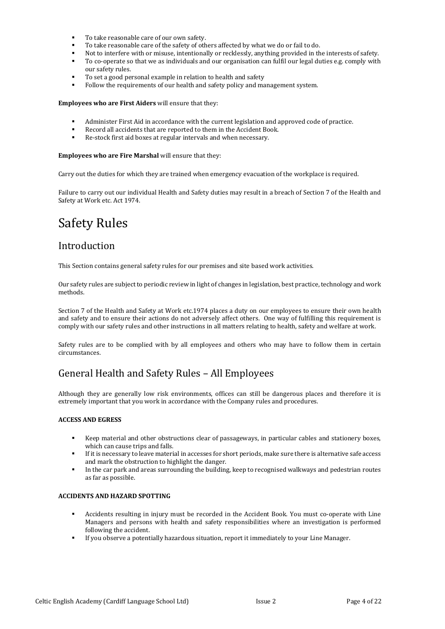- To take reasonable care of our own safety.
- To take reasonable care of the safety of others affected by what we do or fail to do.
- Not to interfere with or misuse, intentionally or recklessly, anything provided in the interests of safety.
- To co-operate so that we as individuals and our organisation can fulfil our legal duties e.g. comply with our safety rules.
- To set a good personal example in relation to health and safety
- Follow the requirements of our health and safety policy and management system.

#### **Employees who are First Aiders** will ensure that they:

- Administer First Aid in accordance with the current legislation and approved code of practice.
- Record all accidents that are reported to them in the Accident Book.
- Re-stock first aid boxes at regular intervals and when necessary.

#### **Employees who are Fire Marshal** will ensure that they:

Carry out the duties for which they are trained when emergency evacuation of the workplace is required.

Failure to carry out our individual Health and Safety duties may result in a breach of Section 7 of the Health and Safety at Work etc. Act 1974.

### <span id="page-4-0"></span>Safety Rules

### Introduction

This Section contains general safety rules for our premises and site based work activities.

Our safety rules are subject to periodic review in light of changes in legislation, best practice, technology and work methods.

Section 7 of the Health and Safety at Work etc.1974 places a duty on our employees to ensure their own health and safety and to ensure their actions do not adversely affect others. One way of fulfilling this requirement is comply with our safety rules and other instructions in all matters relating to health, safety and welfare at work.

Safety rules are to be complied with by all employees and others who may have to follow them in certain circumstances.

### General Health and Safety Rules – All Employees

Although they are generally low risk environments, offices can still be dangerous places and therefore it is extremely important that you work in accordance with the Company rules and procedures.

#### **ACCESS AND EGRESS**

- Keep material and other obstructions clear of passageways, in particular cables and stationery boxes, which can cause trips and falls.
- If it is necessary to leave material in accesses for short periods, make sure there is alternative safe access and mark the obstruction to highlight the danger.
- In the car park and areas surrounding the building, keep to recognised walkways and pedestrian routes as far as possible.

#### **ACCIDENTS AND HAZARD SPOTTING**

- Accidents resulting in injury must be recorded in the Accident Book. You must co-operate with Line Managers and persons with health and safety responsibilities where an investigation is performed following the accident.
- If you observe a potentially hazardous situation, report it immediately to your Line Manager.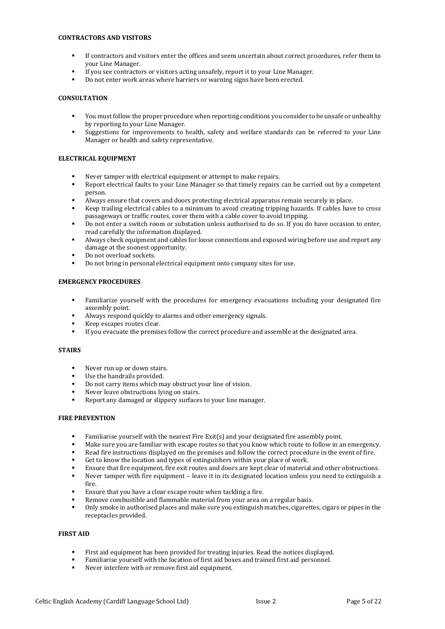#### **CONTRACTORS AND VISITORS**

- If contractors and visitors enter the offices and seem uncertain about correct procedures, refer them to your Line Manager.
- If you see contractors or visitors acting unsafely, report it to your Line Manager.
- Do not enter work areas where barriers or warning signs have been erected.

#### **CONSULTATION**

- You must follow the proper procedure when reporting conditions you consider to be unsafe or unhealthy by reporting to your Line Manager.
- Suggestions for improvements to health, safety and welfare standards can be referred to your Line Manager or health and safety representative.

#### **ELECTRICAL EQUIPMENT**

- Never tamper with electrical equipment or attempt to make repairs.
- Report electrical faults to your Line Manager so that timely repairs can be carried out by a competent person.
- Always ensure that covers and doors protecting electrical apparatus remain securely in place.
- Keep trailing electrical cables to a minimum to avoid creating tripping hazards. If cables have to cross passageways or traffic routes, cover them with a cable cover to avoid tripping.
- Do not enter a switch room or substation unless authorised to do so. If you do have occasion to enter, read carefully the information displayed.
- Always check equipment and cables for loose connections and exposed wiring before use and report any damage at the soonest opportunity.
- Do not overload sockets.
- Do not bring in personal electrical equipment onto company sites for use.

#### **EMERGENCY PROCEDURES**

- Familiarize yourself with the procedures for emergency evacuations including your designated fire assembly point.
- Always respond quickly to alarms and other emergency signals.
- Keep escapes routes clear.
- If you evacuate the premises follow the correct procedure and assemble at the designated area.

#### **STAIRS**

- Never run up or down stairs.
- Use the handrails provided.
- Do not carry items which may obstruct your line of vision.
- Never leave obstructions lying on stairs.
- Report any damaged or slippery surfaces to your line manager.

#### **FIRE PREVENTION**

- Familiarise yourself with the nearest Fire Exit(s) and your designated fire assembly point.
- Make sure you are familiar with escape routes so that you know which route to follow in an emergency.
- Read fire instructions displayed on the premises and follow the correct procedure in the event of fire.
- Get to know the location and types of extinguishers within your place of work.
- Ensure that fire equipment, fire exit routes and doors are kept clear of material and other obstructions.
- Never tamper with fire equipment leave it in its designated location unless you need to extinguish a fire.
- Ensure that you have a clear escape route when tackling a fire.
- Remove combustible and flammable material from your area on a regular basis.
- Only smoke in authorised places and make sure you extinguish matches, cigarettes, cigars or pipes in the receptacles provided.

#### **FIRST AID**

- First aid equipment has been provided for treating injuries. Read the notices displayed.
- Familiarise yourself with the location of first aid boxes and trained first aid personnel.
- Never interfere with or remove first aid equipment.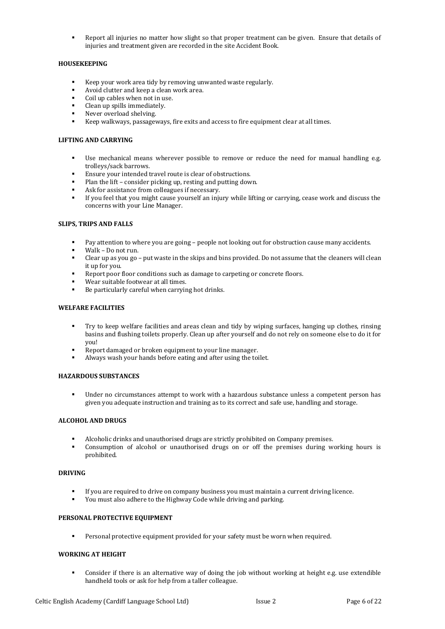Report all injuries no matter how slight so that proper treatment can be given. Ensure that details of injuries and treatment given are recorded in the site Accident Book.

#### **HOUSEKEEPING**

- Keep your work area tidy by removing unwanted waste regularly.
- Avoid clutter and keep a clean work area.
- Coil up cables when not in use.
- Clean up spills immediately.
- Never overload shelving.
- Keep walkways, passageways, fire exits and access to fire equipment clear at all times.

#### **LIFTING AND CARRYING**

- Use mechanical means wherever possible to remove or reduce the need for manual handling e.g. trolleys/sack barrows.
- Ensure your intended travel route is clear of obstructions.
- Plan the lift consider picking up, resting and putting down.
- Ask for assistance from colleagues if necessary.
- If you feel that you might cause yourself an injury while lifting or carrying, cease work and discuss the concerns with your Line Manager.

#### **SLIPS, TRIPS AND FALLS**

- Pay attention to where you are going people not looking out for obstruction cause many accidents.
- Walk Do not run.
- Clear up as you go put waste in the skips and bins provided. Do not assume that the cleaners will clean it up for you.
- Report poor floor conditions such as damage to carpeting or concrete floors.
- Wear suitable footwear at all times.
- Be particularly careful when carrying hot drinks.

#### **WELFARE FACILITIES**

- Try to keep welfare facilities and areas clean and tidy by wiping surfaces, hanging up clothes, rinsing basins and flushing toilets properly. Clean up after yourself and do not rely on someone else to do it for you!
- Report damaged or broken equipment to your line manager.
- Always wash your hands before eating and after using the toilet.

#### **HAZARDOUS SUBSTANCES**

Under no circumstances attempt to work with a hazardous substance unless a competent person has given you adequate instruction and training as to its correct and safe use, handling and storage.

#### **ALCOHOL AND DRUGS**

- Alcoholic drinks and unauthorised drugs are strictly prohibited on Company premises.
- Consumption of alcohol or unauthorised drugs on or off the premises during working hours is prohibited.

#### **DRIVING**

- If you are required to drive on company business you must maintain a current driving licence.
- You must also adhere to the Highway Code while driving and parking.

#### **PERSONAL PROTECTIVE EQUIPMENT**

Personal protective equipment provided for your safety must be worn when required.

#### **WORKING AT HEIGHT**

Consider if there is an alternative way of doing the job without working at height e.g. use extendible handheld tools or ask for help from a taller colleague.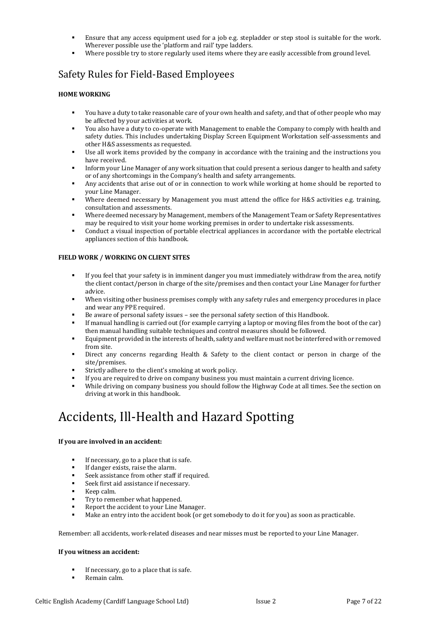- Ensure that any access equipment used for a job e.g. stepladder or step stool is suitable for the work. Wherever possible use the 'platform and rail' type ladders.
- Where possible try to store regularly used items where they are easily accessible from ground level.

### Safety Rules for Field-Based Employees

#### **HOME WORKING**

- You have a duty to take reasonable care of your own health and safety, and that of other people who may be affected by your activities at work.
- You also have a duty to co-operate with Management to enable the Company to comply with health and safety duties. This includes undertaking Display Screen Equipment Workstation self-assessments and other H&S assessments as requested.
- Use all work items provided by the company in accordance with the training and the instructions you have received.
- Inform your Line Manager of any work situation that could present a serious danger to health and safety or of any shortcomings in the Company's health and safety arrangements.
- Any accidents that arise out of or in connection to work while working at home should be reported to your Line Manager.
- Where deemed necessary by Management you must attend the office for H&S activities e.g. training, consultation and assessments.
- Where deemed necessary by Management, members of the Management Team or Safety Representatives may be required to visit your home working premises in order to undertake risk assessments.
- Conduct a visual inspection of portable electrical appliances in accordance with the portable electrical appliances section of this handbook.

#### **FIELD WORK / WORKING ON CLIENT SITES**

- If you feel that your safety is in imminent danger you must immediately withdraw from the area, notify the client contact/person in charge of the site/premises and then contact your Line Manager for further advice.
- When visiting other business premises comply with any safety rules and emergency procedures in place and wear any PPE required.
- Be aware of personal safety issues see the personal safety section of this Handbook.
- If manual handling is carried out (for example carrying a laptop or moving files from the boot of the car) then manual handling suitable techniques and control measures should be followed.
- Equipment provided in the interests of health, safety and welfare must not be interfered with or removed from site.
- Direct any concerns regarding Health & Safety to the client contact or person in charge of the site/premises.
- Strictly adhere to the client's smoking at work policy.
- If you are required to drive on company business you must maintain a current driving licence.
- While driving on company business you should follow the Highway Code at all times. See the section on driving at work in this handbook.

## <span id="page-7-0"></span>Accidents, Ill-Health and Hazard Spotting

#### **If you are involved in an accident:**

- If necessary, go to a place that is safe.
- If danger exists, raise the alarm.
- Seek assistance from other staff if required.
- Seek first aid assistance if necessary.
- Keep calm.
- Try to remember what happened.
- Report the accident to your Line Manager.
- Make an entry into the accident book (or get somebody to do it for you) as soon as practicable.

Remember: all accidents, work-related diseases and near misses must be reported to your Line Manager.

#### **If you witness an accident:**

- If necessary, go to a place that is safe.
- Remain calm.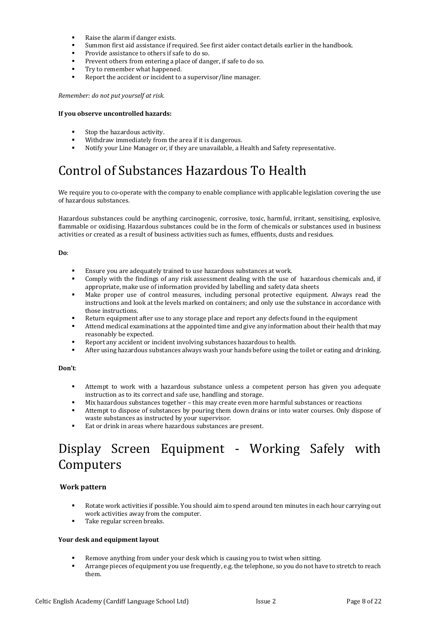- Raise the alarm if danger exists.
- Summon first aid assistance if required. See first aider contact details earlier in the handbook.
- Provide assistance to others if safe to do so.
- Prevent others from entering a place of danger, if safe to do so.
- Try to remember what happened.
- Report the accident or incident to a supervisor/line manager.

*Remember: do not put yourself at risk.*

#### **If you observe uncontrolled hazards:**

- Stop the hazardous activity.
- Withdraw immediately from the area if it is dangerous.
- Notify your Line Manager or, if they are unavailable, a Health and Safety representative.

# <span id="page-8-0"></span>Control of Substances Hazardous To Health

We require you to co-operate with the company to enable compliance with applicable legislation covering the use of hazardous substances.

Hazardous substances could be anything carcinogenic, corrosive, toxic, harmful, irritant, sensitising, explosive, flammable or oxidising. Hazardous substances could be in the form of chemicals or substances used in business activities or created as a result of business activities such as fumes, effluents, dusts and residues.

#### **Do**:

- Ensure you are adequately trained to use hazardous substances at work.
- Comply with the findings of any risk assessment dealing with the use of hazardous chemicals and, if appropriate, make use of information provided by labelling and safety data sheets
- Make proper use of control measures, including personal protective equipment. Always read the instructions and look at the levels marked on containers; and only use the substance in accordance with those instructions.
- Return equipment after use to any storage place and report any defects found in the equipment
- Attend medical examinations at the appointed time and give any information about their health that may reasonably be expected.
- Report any accident or incident involving substances hazardous to health.
- After using hazardous substances always wash your hands before using the toilet or eating and drinking.

#### **Don't**:

- Attempt to work with a hazardous substance unless a competent person has given you adequate instruction as to its correct and safe use, handling and storage.
- Mix hazardous substances together this may create even more harmful substances or reactions
- Attempt to dispose of substances by pouring them down drains or into water courses. Only dispose of waste substances as instructed by your supervisor.
- Eat or drink in areas where hazardous substances are present.

# <span id="page-8-1"></span>Display Screen Equipment - Working Safely with Computers

#### **Work pattern**

- Rotate work activities if possible. You should aim to spend around ten minutes in each hour carrying out work activities away from the computer.
- Take regular screen breaks.

#### **Your desk and equipment layout**

- Remove anything from under your desk which is causing you to twist when sitting.
- Arrange pieces of equipment you use frequently, e.g. the telephone, so you do not have to stretch to reach them.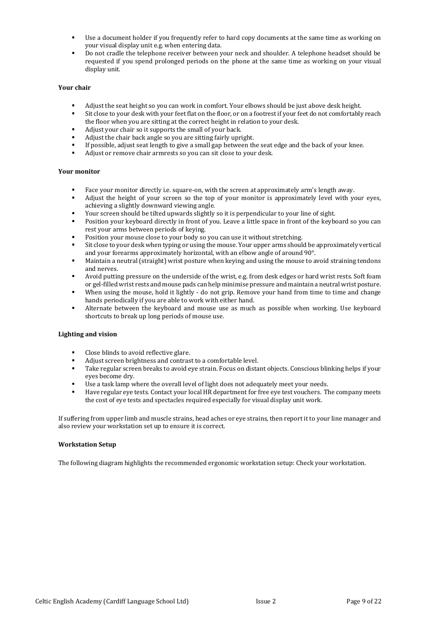- Use a document holder if you frequently refer to hard copy documents at the same time as working on your visual display unit e.g. when entering data.
- Do not cradle the telephone receiver between your neck and shoulder. A telephone headset should be requested if you spend prolonged periods on the phone at the same time as working on your visual display unit.

#### **Your chair**

- Adjust the seat height so you can work in comfort. Your elbows should be just above desk height.
- Sit close to your desk with your feet flat on the floor, or on a footrest if your feet do not comfortably reach the floor when you are sitting at the correct height in relation to your desk.
- Adjust your chair so it supports the small of your back.
- Adjust the chair back angle so you are sitting fairly upright.
- If possible, adjust seat length to give a small gap between the seat edge and the back of your knee.
- Adjust or remove chair armrests so you can sit close to your desk.

#### **Your monitor**

- Face your monitor directly i.e. square-on, with the screen at approximately arm's length away.
- Adjust the height of your screen so the top of your monitor is approximately level with your eyes, achieving a slightly downward viewing angle.
- Your screen should be tilted upwards slightly so it is perpendicular to your line of sight.
- Position your keyboard directly in front of you. Leave a little space in front of the keyboard so you can rest your arms between periods of keying.
- Position your mouse close to your body so you can use it without stretching.
- Sit close to your desk when typing or using the mouse. Your upper arms should be approximately vertical and your forearms approximately horizontal, with an elbow angle of around 90°.
- Maintain a neutral (straight) wrist posture when keying and using the mouse to avoid straining tendons and nerves.
- Avoid putting pressure on the underside of the wrist, e.g. from desk edges or hard wrist rests. Soft foam or gel-filled wrist rests and mouse pads can help minimise pressure and maintain a neutral wrist posture.
- When using the mouse, hold it lightly do not grip. Remove your hand from time to time and change hands periodically if you are able to work with either hand.
- Alternate between the keyboard and mouse use as much as possible when working. Use keyboard shortcuts to break up long periods of mouse use.

#### **Lighting and vision**

- Close blinds to avoid reflective glare.
- Adjust screen brightness and contrast to a comfortable level.
- Take regular screen breaks to avoid eye strain. Focus on distant objects. Conscious blinking helps if your eyes become dry.
- Use a task lamp where the overall level of light does not adequately meet your needs.
- Have regular eye tests. Contact your local HR department for free eye test vouchers. The company meets the cost of eye tests and spectacles required especially for visual display unit work.

If suffering from upper limb and muscle strains, head aches or eye strains, then report it to your line manager and also review your workstation set up to ensure it is correct.

#### **Workstation Setup**

The following diagram highlights the recommended ergonomic workstation setup: Check your workstation.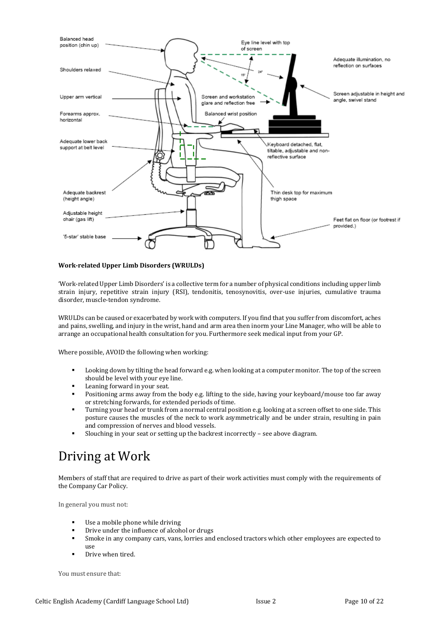

#### **Work-related Upper Limb Disorders (WRULDs)**

'Work-related Upper Limb Disorders' is a collective term for a number of physical conditions including upper limb strain injury, repetitive strain injury (RSI), tendonitis, tenosynovitis, over-use injuries, cumulative trauma disorder, muscle-tendon syndrome.

WRULDs can be caused or exacerbated by work with computers. If you find that you suffer from discomfort, aches and pains, swelling, and injury in the wrist, hand and arm area then inorm your Line Manager, who will be able to arrange an occupational health consultation for you. Furthermore seek medical input from your GP.

Where possible, AVOID the following when working:

- Looking down by tilting the head forward e.g. when looking at a computer monitor. The top of the screen should be level with your eye line.
- Leaning forward in your seat.
- Positioning arms away from the body e.g. lifting to the side, having your keyboard/mouse too far away or stretching forwards, for extended periods of time.
- Turning your head or trunk from a normal central position e.g. looking at a screen offset to one side. This posture causes the muscles of the neck to work asymmetrically and be under strain, resulting in pain and compression of nerves and blood vessels.
- Slouching in your seat or setting up the backrest incorrectly see above diagram.

### <span id="page-10-0"></span>Driving at Work

Members of staff that are required to drive as part of their work activities must comply with the requirements of the Company Car Policy.

In general you must not:

- Use a mobile phone while driving
- Drive under the influence of alcohol or drugs
- Smoke in any company cars, vans, lorries and enclosed tractors which other employees are expected to use
- Drive when tired.

You must ensure that: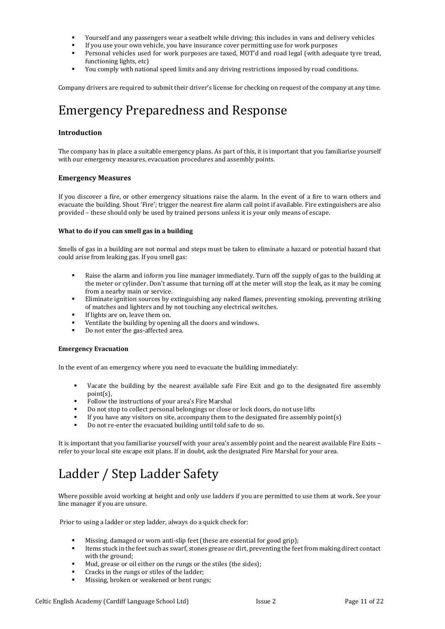- Yourself and any passengers wear a seatbelt while driving; this includes in vans and delivery vehicles
- If you use your own vehicle, you have insurance cover permitting use for work purposes
- Personal vehicles used for work purposes are taxed, MOT'd and road legal (with adequate tyre tread, functioning lights, etc)
- You comply with national speed limits and any driving restrictions imposed by road conditions.

Company drivers are required to submit their driver's license for checking on request of the company at any time.

## <span id="page-11-1"></span>Emergency Preparedness and Response

#### **Introduction**

The company has in place a suitable emergency plans. As part of this, it is important that you familiarise yourself with our emergency measures, evacuation procedures and assembly points.

#### **Emergency Measures**

If you discover a fire, or other emergency situations raise the alarm. In the event of a fire to warn others and evacuate the building. Shout 'Fire'; trigger the nearest fire alarm call point if available. Fire extinguishers are also provided – these should only be used by trained persons unless it is your only means of escape.

#### **What to do if you can smell gas in a building**

Smells of gas in a building are not normal and steps must be taken to eliminate a hazard or potential hazard that could arise from leaking gas. If you smell gas:

- Raise the alarm and inform you line manager immediately. Turn off the supply of gas to the building at the meter or cylinder. Don't assume that turning off at the meter will stop the leak, as it may be coming from a nearby main or service.
- Eliminate ignition sources by extinguishing any naked flames, preventing smoking, preventing striking of matches and lighters and by not touching any electrical switches.
- If lights are on, leave them on.
- Ventilate the building by opening all the doors and windows.
- Do not enter the gas-affected area.

#### **Emergency Evacuation**

In the event of an emergency where you need to evacuate the building immediately:

- Vacate the building by the nearest available safe Fire Exit and go to the designated fire assembly point(s),
- Follow the instructions of your area's Fire Marshal
- Do not stop to collect personal belongings or close or lock doors, do not use lifts
- If you have any visitors on site, accompany them to the designated fire assembly point $(s)$
- Do not re-enter the evacuated building until told safe to do so.

It is important that you familiarise yourself with your area's assembly point and the nearest available Fire Exits – refer to your local site escape exit plans. If in doubt, ask the designated Fire Marshal for your area.

# <span id="page-11-0"></span>Ladder / Step Ladder Safety

Where possible avoid working at height and only use ladders if you are permitted to use them at work. See your line manager if you are unsure.

Prior to using a ladder or step ladder, always do a quick check for:

- Missing, damaged or worn anti-slip feet (these are essential for good grip);
- Items stuck in the feet such as swarf, stones grease or dirt, preventing the feet from making direct contact with the ground;
- Mud, grease or oil either on the rungs or the stiles (the sides);
- Cracks in the rungs or stiles of the ladder;
- Missing, broken or weakened or bent rungs;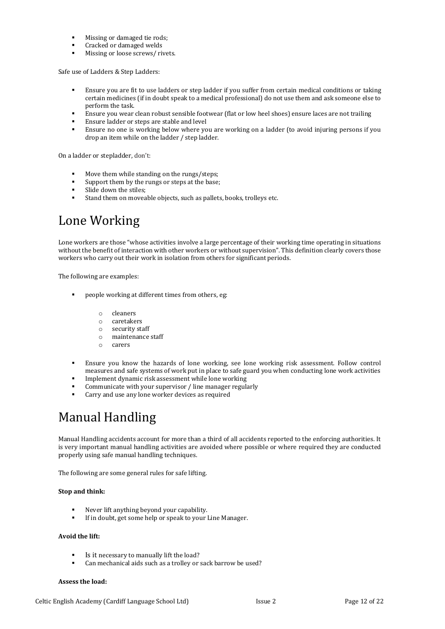- Missing or damaged tie rods;
- Cracked or damaged welds
- Missing or loose screws/ rivets.

Safe use of Ladders & Step Ladders:

- Ensure you are fit to use ladders or step ladder if you suffer from certain medical conditions or taking certain medicines (if in doubt speak to a medical professional) do not use them and ask someone else to perform the task.
- Ensure you wear clean robust sensible footwear (flat or low heel shoes) ensure laces are not trailing
- Ensure ladder or steps are stable and level
- Ensure no one is working below where you are working on a ladder (to avoid injuring persons if you drop an item while on the ladder / step ladder.

On a ladder or stepladder, don't:

- Move them while standing on the rungs/steps;
- Support them by the rungs or steps at the base;
- Slide down the stiles;
- Stand them on moveable objects, such as pallets, books, trolleys etc.

## <span id="page-12-1"></span>Lone Working

Lone workers are those "whose activities involve a large percentage of their working time operating in situations without the benefit of interaction with other workers or without supervision". This definition clearly covers those workers who carry out their work in isolation from others for significant periods.

The following are examples:

- people working at different times from others, eg:
	- o cleaners
	- o caretakers
	- o security staff
	- o maintenance staff
	- o carers
- Ensure you know the hazards of lone working, see lone working risk assessment. Follow control measures and safe systems of work put in place to safe guard you when conducting lone work activities
- Implement dynamic risk assessment while lone working
- Communicate with your supervisor / line manager regularly
- Carry and use any lone worker devices as required

# <span id="page-12-0"></span>Manual Handling

Manual Handling accidents account for more than a third of all accidents reported to the enforcing authorities. It is very important manual handling activities are avoided where possible or where required they are conducted properly using safe manual handling techniques.

The following are some general rules for safe lifting.

#### **Stop and think:**

- Never lift anything beyond your capability.
- If in doubt, get some help or speak to your Line Manager.

#### **Avoid the lift:**

- Is it necessary to manually lift the load?
- Can mechanical aids such as a trolley or sack barrow be used?

#### **Assess the load:**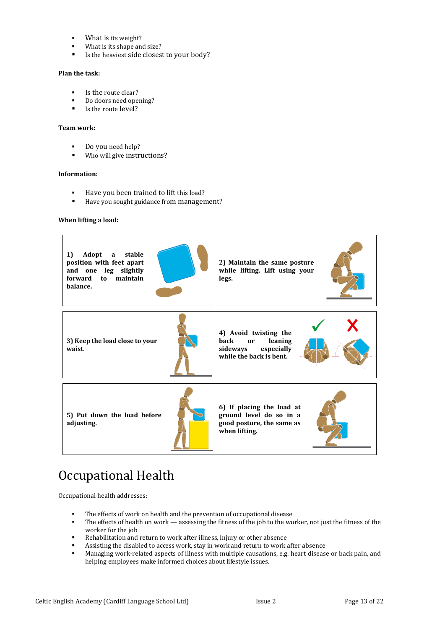- What is its weight?
- What is its shape and size?
- Is the heaviest side closest to your body?

#### **Plan the task:**

- Is the route clear?
- Do doors need opening?
- Is the route level?

#### **Team work:**

- Do you need help?
- Who will give instructions?

#### **Information:**

- Have you been trained to lift this load?
- Have you sought guidance from management?

#### **When lifting a load:**



# <span id="page-13-0"></span>Occupational Health

Occupational health addresses:

- The effects of work on health and the prevention of occupational disease
- The effects of health on work assessing the fitness of the job to the worker, not just the fitness of the worker for the job
- Rehabilitation and return to work after illness, injury or other absence
- Assisting the disabled to access work, stay in work and return to work after absence
- Managing work-related aspects of illness with multiple causations, e.g. heart disease or back pain, and helping employees make informed choices about lifestyle issues.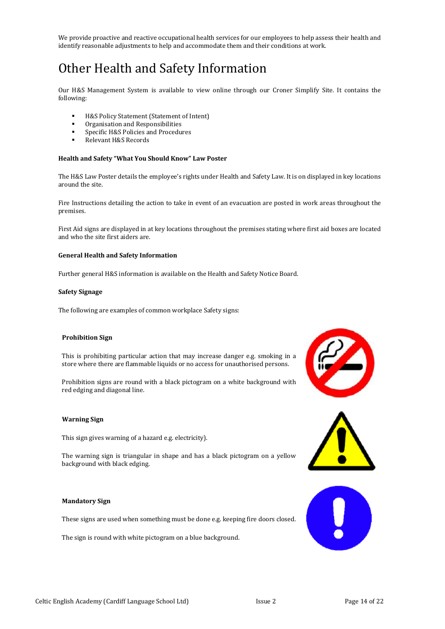We provide proactive and reactive occupational health services for our employees to help assess their health and identify reasonable adjustments to help and accommodate them and their conditions at work.

# <span id="page-14-0"></span>Other Health and Safety Information

Our H&S Management System is available to view online through our Croner Simplify Site. It contains the following:

- H&S Policy Statement (Statement of Intent)
- Organisation and Responsibilities
- Specific H&S Policies and Procedures
- Relevant H&S Records

#### **Health and Safety "What You Should Know" Law Poster**

The H&S Law Poster details the employee's rights under Health and Safety Law. It is on displayed in key locations around the site.

Fire Instructions detailing the action to take in event of an evacuation are posted in work areas throughout the premises.

First Aid signs are displayed in at key locations throughout the premises stating where first aid boxes are located and who the site first aiders are.

#### **General Health and Safety Information**

Further general H&S information is available on the Health and Safety Notice Board.

#### **Safety Signage**

The following are examples of common workplace Safety signs:

#### **Prohibition Sign**

This is prohibiting particular action that may increase danger e.g. smoking in a store where there are flammable liquids or no access for unauthorised persons.

Prohibition signs are round with a black pictogram on a white background with red edging and diagonal line.

#### **Warning Sign**

This sign gives warning of a hazard e.g. electricity).

The warning sign is triangular in shape and has a black pictogram on a yellow background with black edging.

#### **Mandatory Sign**

These signs are used when something must be done e.g. keeping fire doors closed.

The sign is round with white pictogram on a blue background.





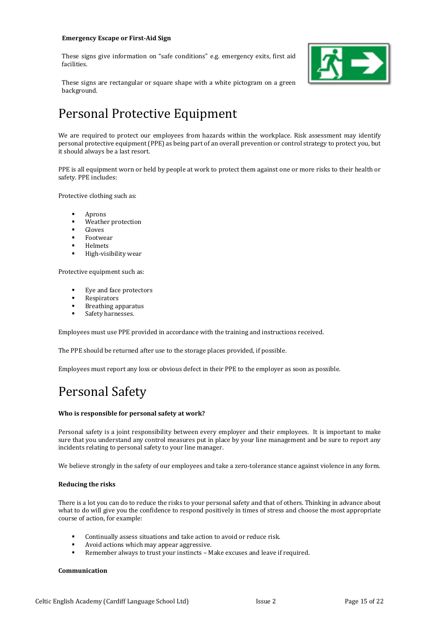#### **Emergency Escape or First-Aid Sign**

These signs give information on "safe conditions" e.g. emergency exits, first aid facilities.



These signs are rectangular or square shape with a white pictogram on a green background.

# <span id="page-15-0"></span>Personal Protective Equipment

We are required to protect our employees from hazards within the workplace. Risk assessment may identify personal protective equipment (PPE) as being part of an overall prevention or control strategy to protect you, but it should always be a last resort.

PPE is all equipment worn or held by people at work to protect them against one or more risks to their health or safety. PPE includes:

Protective clothing such as:

- **Aprons**
- Weather protection
- Gloves
- **Footwear**
- **Helmets**
- High-visibility wear

Protective equipment such as:

- Eye and face protectors
- **Respirators**
- Breathing apparatus
- Safety harnesses.

Employees must use PPE provided in accordance with the training and instructions received.

The PPE should be returned after use to the storage places provided, if possible.

Employees must report any loss or obvious defect in their PPE to the employer as soon as possible.

### <span id="page-15-1"></span>Personal Safety

#### **Who is responsible for personal safety at work?**

Personal safety is a joint responsibility between every employer and their employees. It is important to make sure that you understand any control measures put in place by your line management and be sure to report any incidents relating to personal safety to your line manager.

We believe strongly in the safety of our employees and take a zero-tolerance stance against violence in any form.

#### **Reducing the risks**

There is a lot you can do to reduce the risks to your personal safety and that of others. Thinking in advance about what to do will give you the confidence to respond positively in times of stress and choose the most appropriate course of action, for example:

- Continually assess situations and take action to avoid or reduce risk.
- Avoid actions which may appear aggressive.
- Remember always to trust your instincts Make excuses and leave if required.

#### **Communication**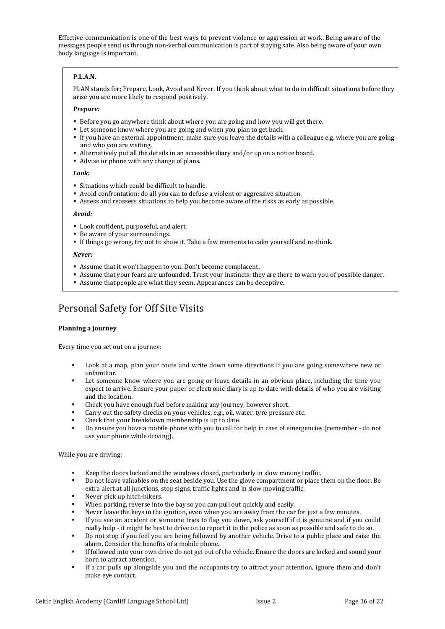Effective communication is one of the best ways to prevent violence or aggression at work. Being aware of the messages people send us through non-verbal communication is part of staying safe. Also being aware of your own body language is important.

#### **P.L.A.N.**

PLAN stands for; Prepare, Look, Avoid and Never. If you think about what to do in difficult situations before they arise you are more likely to respond positively.

#### *Prepare:*

- Before you go anywhere think about where you are going and how you will get there.
- Let someone know where you are going and when you plan to get back.
- If you have an external appointment, make sure you leave the details with a colleague e.g. where you are going and who you are visiting.
- Alternatively put all the details in an accessible diary and/or up on a notice board.
- Advise or phone with any change of plans.

#### *Look:*

- Situations which could be difficult to handle.
- Avoid confrontation: do all you can to defuse a violent or aggressive situation.
- Assess and reassess situations to help you become aware of the risks as early as possible.

#### *Avoid:*

- Look confident, purposeful, and alert.
- Be aware of your surroundings.
- If things go wrong, try not to show it. Take a few moments to calm yourself and re-think.

#### *Never:*

- Assume that it won't happen to you. Don't become complacent.
- Assume that your fears are unfounded. Trust your instincts: they are there to warn you of possible danger.
- Assume that people are what they seem. Appearances can be deceptive.

### Personal Safety for Off Site Visits

#### **Planning a journey**

Every time you set out on a journey:

- Look at a map, plan your route and write down some directions if you are going somewhere new or unfamiliar.
- Let someone know where you are going or leave details in an obvious place, including the time you expect to arrive. Ensure your paper or electronic diary is up to date with details of who you are visiting and the location.
- Check you have enough fuel before making any journey, however short.
- Carry out the safety checks on your vehicles, e.g., oil, water, tyre pressure etc.
- Check that your breakdown membership is up to date.
- Do ensure you have a mobile phone with you to call for help in case of emergencies (remember do not use your phone while driving).

#### While you are driving:

- Keep the doors locked and the windows closed, particularly in slow moving traffic.
- Do not leave valuables on the seat beside you. Use the glove compartment or place them on the floor. Be extra alert at all junctions, stop signs, traffic lights and in slow moving traffic.
- Never pick up hitch-hikers.
- When parking, reverse into the bay so you can pull out quickly and easily.
- Never leave the keys in the ignition, even when you are away from the car for just a few minutes.
- If you see an accident or someone tries to flag you down, ask yourself if it is genuine and if you could really help - it might be best to drive on to report it to the police as soon as possible and safe to do so.
- Do not stop if you feel you are being followed by another vehicle. Drive to a public place and raise the alarm. Consider the benefits of a mobile phone.
- If followed into your own drive do not get out of the vehicle. Ensure the doors are locked and sound your horn to attract attention.
- If a car pulls up alongside you and the occupants try to attract your attention, ignore them and don't make eye contact.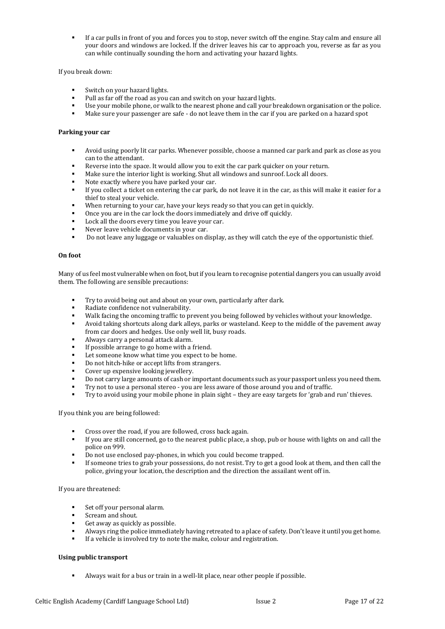If a car pulls in front of you and forces you to stop, never switch off the engine. Stay calm and ensure all your doors and windows are locked. If the driver leaves his car to approach you, reverse as far as you can while continually sounding the horn and activating your hazard lights.

#### If you break down:

- Switch on your hazard lights.
- Pull as far off the road as you can and switch on your hazard lights.
- Use your mobile phone, or walk to the nearest phone and call your breakdown organisation or the police.
- Make sure your passenger are safe do not leave them in the car if you are parked on a hazard spot

#### **Parking your car**

- Avoid using poorly lit car parks. Whenever possible, choose a manned car park and park as close as you can to the attendant.
- Reverse into the space. It would allow you to exit the car park quicker on your return.
- Make sure the interior light is working. Shut all windows and sunroof. Lock all doors.
- Note exactly where you have parked your car.
- If you collect a ticket on entering the car park, do not leave it in the car, as this will make it easier for a thief to steal your vehicle.
- When returning to your car, have your keys ready so that you can get in quickly.
- Once you are in the car lock the doors immediately and drive off quickly.
- Lock all the doors every time you leave your car.
- Never leave vehicle documents in your car.
- Do not leave any luggage or valuables on display, as they will catch the eye of the opportunistic thief.

#### **On foot**

Many of us feel most vulnerable when on foot, but if you learn to recognise potential dangers you can usually avoid them. The following are sensible precautions:

- Try to avoid being out and about on your own, particularly after dark.
- Radiate confidence not vulnerability.
- Walk facing the oncoming traffic to prevent you being followed by vehicles without your knowledge.
- Avoid taking shortcuts along dark alleys, parks or wasteland. Keep to the middle of the pavement away from car doors and hedges. Use only well lit, busy roads.
- Always carry a personal attack alarm.
- If possible arrange to go home with a friend.
- Let someone know what time you expect to be home.
- Do not hitch-hike or accept lifts from strangers.
- Cover up expensive looking jewellery.
- Do not carry large amounts of cash or important documents such as your passport unless you need them.
- Try not to use a personal stereo you are less aware of those around you and of traffic.
- Try to avoid using your mobile phone in plain sight they are easy targets for 'grab and run' thieves.

If you think you are being followed:

- Cross over the road, if you are followed, cross back again.
- If you are still concerned, go to the nearest public place, a shop, pub or house with lights on and call the police on 999.
- Do not use enclosed pay-phones, in which you could become trapped.
- If someone tries to grab your possessions, do not resist. Try to get a good look at them, and then call the police, giving your location, the description and the direction the assailant went off in.

If you are threatened:

- Set off your personal alarm.
- Scream and shout.
- Get away as quickly as possible.
- Always ring the police immediately having retreated to a place of safety. Don't leave it until you get home.
- If a vehicle is involved try to note the make, colour and registration.

#### **Using public transport**

Always wait for a bus or train in a well-lit place, near other people if possible.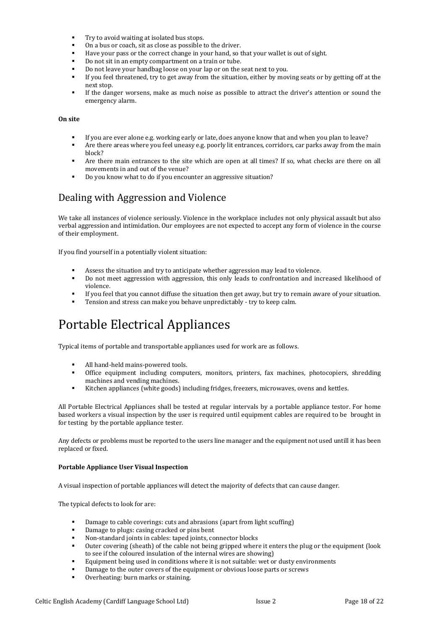- Try to avoid waiting at isolated bus stops.
- On a bus or coach, sit as close as possible to the driver.
- Have your pass or the correct change in your hand, so that your wallet is out of sight.
- Do not sit in an empty compartment on a train or tube.
- Do not leave your handbag loose on your lap or on the seat next to you.
- If you feel threatened, try to get away from the situation, either by moving seats or by getting off at the next stop.
- If the danger worsens, make as much noise as possible to attract the driver's attention or sound the emergency alarm.

#### **On site**

- If you are ever alone e.g. working early or late, does anyone know that and when you plan to leave?
- Are there areas where you feel uneasy e.g. poorly lit entrances, corridors, car parks away from the main block?
- Are there main entrances to the site which are open at all times? If so, what checks are there on all movements in and out of the venue?
- Do you know what to do if you encounter an aggressive situation?

### Dealing with Aggression and Violence

We take all instances of violence seriously. Violence in the workplace includes not only physical assault but also verbal aggression and intimidation. Our employees are not expected to accept any form of violence in the course of their employment.

If you find yourself in a potentially violent situation:

- Assess the situation and try to anticipate whether aggression may lead to violence.
- Do not meet aggression with aggression, this only leads to confrontation and increased likelihood of violence.
- If you feel that you cannot diffuse the situation then get away, but try to remain aware of your situation.
- Tension and stress can make you behave unpredictably try to keep calm.

## <span id="page-18-0"></span>Portable Electrical Appliances

Typical items of portable and transportable appliances used for work are as follows.

- All hand-held mains-powered tools.
- Office equipment including computers, monitors, printers, fax machines, photocopiers, shredding machines and vending machines.
- Kitchen appliances (white goods) including fridges, freezers, microwaves, ovens and kettles.

All Portable Electrical Appliances shall be tested at regular intervals by a portable appliance testor. For home based workers a visual inspection by the user is required until equipment cables are required to be brought in for testing by the portable appliance tester.

Any defects or problems must be reported to the users line manager and the equipment not used untill it has been replaced or fixed.

#### **Portable Appliance User Visual Inspection**

A visual inspection of portable appliances will detect the majority of defects that can cause danger.

The typical defects to look for are:

- Damage to cable coverings: cuts and abrasions (apart from light scuffing)
- Damage to plugs: casing cracked or pins bent
- Non-standard joints in cables: taped joints, connector blocks
- Outer covering (sheath) of the cable not being gripped where it enters the plug or the equipment (look to see if the coloured insulation of the internal wires are showing)
- Equipment being used in conditions where it is not suitable: wet or dusty environments
- Damage to the outer covers of the equipment or obvious loose parts or screws
- Overheating: burn marks or staining.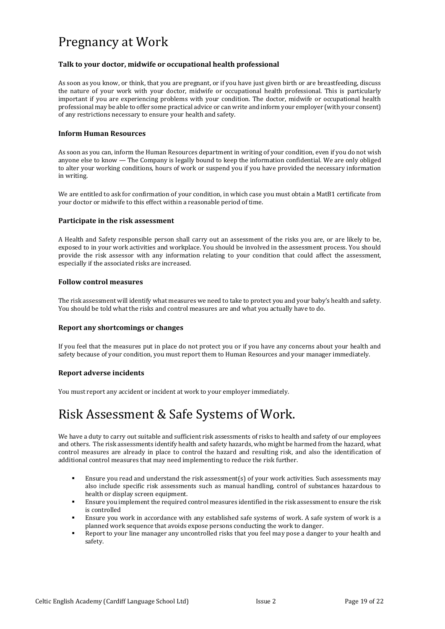### <span id="page-19-0"></span>Pregnancy at Work

#### **Talk to your doctor, midwife or occupational health professional**

As soon as you know, or think, that you are pregnant, or if you have just given birth or are breastfeeding, discuss the nature of your work with your doctor, midwife or occupational health professional. This is particularly important if you are experiencing problems with your condition. The doctor, midwife or occupational health professional may be able to offer some practical advice or can write and inform your employer (with your consent) of any restrictions necessary to ensure your health and safety.

#### **Inform Human Resources**

As soon as you can, inform the Human Resources department in writing of your condition, even if you do not wish anyone else to know — The Company is legally bound to keep the information confidential. We are only obliged to alter your working conditions, hours of work or suspend you if you have provided the necessary information in writing.

We are entitled to ask for confirmation of your condition, in which case you must obtain a MatB1 certificate from your doctor or midwife to this effect within a reasonable period of time.

#### **Participate in the risk assessment**

A Health and Safety responsible person shall carry out an assessment of the risks you are, or are likely to be, exposed to in your work activities and workplace. You should be involved in the assessment process. You should provide the risk assessor with any information relating to your condition that could affect the assessment, especially if the associated risks are increased.

#### **Follow control measures**

The risk assessment will identify what measures we need to take to protect you and your baby's health and safety. You should be told what the risks and control measures are and what you actually have to do.

#### **Report any shortcomings or changes**

If you feel that the measures put in place do not protect you or if you have any concerns about your health and safety because of your condition, you must report them to Human Resources and your manager immediately.

#### **Report adverse incidents**

You must report any accident or incident at work to your employer immediately.

# <span id="page-19-1"></span>Risk Assessment & Safe Systems of Work.

We have a duty to carry out suitable and sufficient risk assessments of risks to health and safety of our employees and others. The risk assessments identify health and safety hazards, who might be harmed from the hazard, what control measures are already in place to control the hazard and resulting risk, and also the identification of additional control measures that may need implementing to reduce the risk further.

- Ensure you read and understand the risk assessment(s) of your work activities. Such assessments may also include specific risk assessments such as manual handling, control of substances hazardous to health or display screen equipment.
- Ensure you implement the required control measures identified in the risk assessment to ensure the risk is controlled
- Ensure you work in accordance with any established safe systems of work. A safe system of work is a planned work sequence that avoids expose persons conducting the work to danger.
- Report to your line manager any uncontrolled risks that you feel may pose a danger to your health and safety.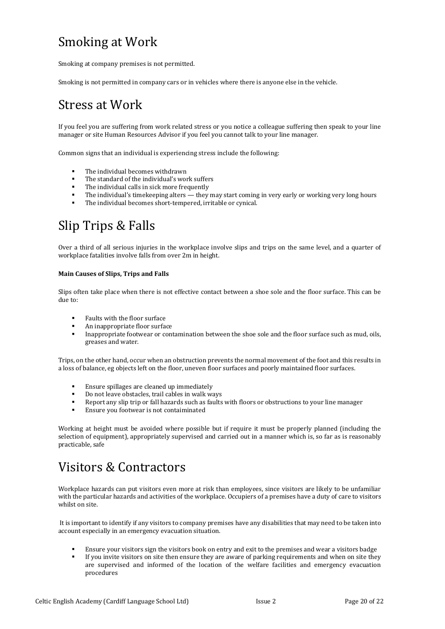# <span id="page-20-2"></span>Smoking at Work

Smoking at company premises is not permitted.

Smoking is not permitted in company cars or in vehicles where there is anyone else in the vehicle.

### <span id="page-20-1"></span>Stress at Work

If you feel you are suffering from work related stress or you notice a colleague suffering then speak to your line manager or site Human Resources Advisor if you feel you cannot talk to your line manager.

Common signs that an individual is experiencing stress include the following:

- The individual becomes withdrawn
- The standard of the individual's work suffers
- The individual calls in sick more frequently
- The individual's timekeeping alters they may start coming in very early or working very long hours
- The individual becomes short-tempered, irritable or cynical.

## <span id="page-20-0"></span>Slip Trips & Falls

Over a third of all serious injuries in the workplace involve slips and trips on the same level, and a quarter of workplace fatalities involve falls from over 2m in height.

#### **Main Causes of Slips, Trips and Falls**

Slips often take place when there is not effective contact between a shoe sole and the floor surface. This can be due to:

- Faults with the floor surface
- An inappropriate floor surface
- Inappropriate footwear or contamination between the shoe sole and the floor surface such as mud, oils, greases and water.

Trips, on the other hand, occur when an obstruction prevents the normal movement of the foot and this results in a loss of balance, eg objects left on the floor, uneven floor surfaces and poorly maintained floor surfaces.

- Ensure spillages are cleaned up immediately
- Do not leave obstacles, trail cables in walk ways
- Report any slip trip or fall hazards such as faults with floors or obstructions to your line manager
- Ensure you footwear is not contaiminated

Working at height must be avoided where possible but if require it must be properly planned (including the selection of equipment), appropriately supervised and carried out in a manner which is, so far as is reasonably practicable, safe

### <span id="page-20-3"></span>Visitors & Contractors

Workplace hazards can put visitors even more at risk than employees, since visitors are likely to be unfamiliar with the particular hazards and activities of the workplace. Occupiers of a premises have a duty of care to visitors whilst on site.

It is important to identify if any visitors to company premises have any disabilities that may need to be taken into account especially in an emergency evacuation situation.

- Ensure your visitors sign the visitors book on entry and exit to the premises and wear a visitors badge
- If you invite visitors on site then ensure they are aware of parking requirements and when on site they are supervised and informed of the location of the welfare facilities and emergency evacuation procedures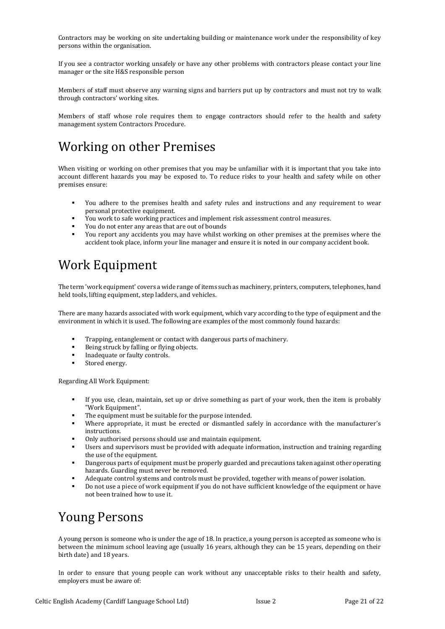Contractors may be working on site undertaking building or maintenance work under the responsibility of key persons within the organisation.

If you see a contractor working unsafely or have any other problems with contractors please contact your line manager or the site H&S responsible person

Members of staff must observe any warning signs and barriers put up by contractors and must not try to walk through contractors' working sites.

Members of staff whose role requires them to engage contractors should refer to the health and safety management system Contractors Procedure.

### <span id="page-21-1"></span>Working on other Premises

When visiting or working on other premises that you may be unfamiliar with it is important that you take into account different hazards you may be exposed to. To reduce risks to your health and safety while on other premises ensure:

- You adhere to the premises health and safety rules and instructions and any requirement to wear personal protective equipment.
- You work to safe working practices and implement risk assessment control measures.
- You do not enter any areas that are out of bounds
- You report any accidents you may have whilst working on other premises at the premises where the accident took place, inform your line manager and ensure it is noted in our company accident book.

### <span id="page-21-2"></span>Work Equipment

The term 'work equipment' covers a wide range of items such as machinery, printers, computers, telephones, hand held tools, lifting equipment, step ladders, and vehicles.

There are many hazards associated with work equipment, which vary according to the type of equipment and the environment in which it is used. The following are examples of the most commonly found hazards:

- Trapping, entanglement or contact with dangerous parts of machinery.
- Being struck by falling or flying objects.
- Inadequate or faulty controls.
- Stored energy.

Regarding All Work Equipment:

- If you use, clean, maintain, set up or drive something as part of your work, then the item is probably "Work Equipment".
- The equipment must be suitable for the purpose intended.
- Where appropriate, it must be erected or dismantled safely in accordance with the manufacturer's instructions.
- Only authorised persons should use and maintain equipment.
- Users and supervisors must be provided with adequate information, instruction and training regarding the use of the equipment.
- Dangerous parts of equipment must be properly guarded and precautions taken against other operating hazards. Guarding must never be removed.
- Adequate control systems and controls must be provided, together with means of power isolation.
- Do not use a piece of work equipment if you do not have sufficient knowledge of the equipment or have not been trained how to use it.

### <span id="page-21-0"></span>Young Persons

A young person is someone who is under the age of 18. In practice, a young person is accepted as someone who is between the minimum school leaving age (usually 16 years, although they can be 15 years, depending on their birth date) and 18 years.

In order to ensure that young people can work without any unacceptable risks to their health and safety, employers must be aware of: